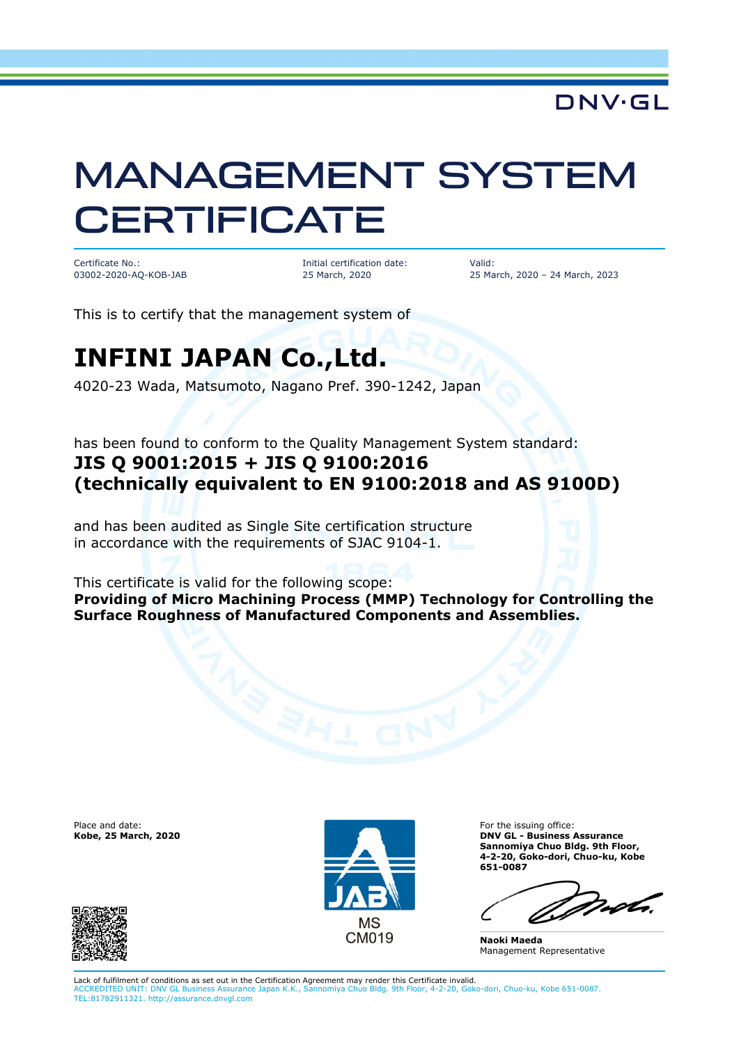**DNV·GL** 

# MANAGEMENT SYSTEM **CERTIFICATE**

Certificate No.: 03002-2020-AQ-KOB-JAB Initial certification date: 25 March, 2020

Valid: 25 March, 2020 – 24 March, 2023

This is to certify that the management system of

### **INFINI JAPAN Co.,Ltd.**

4020-23 Wada, Matsumoto, Nagano Pref. 390-1242, Japan

has been found to conform to the Quality Management System standard: **JIS Q 9001:2015 + JIS Q 9100:2016 (technically equivalent to EN 9100:2018 and AS 9100D)**

and has been audited as Single Site certification structure in accordance with the requirements of SJAC 9104-1.

This certificate is valid for the following scope:

**Providing of Micro Machining Process (MMP) Technology for Controlling the Surface Roughness of Manufactured Components and Assemblies.** 

Place and date: **Kobe, 25 March, 2020**





For the issuing office: **DNV GL - Business Assurance Sannomiya Chuo Bldg. 9th Floor, 4-2-20, Goko-dori, Chuo-ku, Kobe 651-0087** 

moto

\_\_\_\_\_\_\_\_\_\_\_\_\_\_\_\_\_\_\_\_\_\_\_\_\_\_\_\_\_\_\_\_\_\_\_\_\_\_\_\_\_\_\_\_\_\_\_\_\_\_\_\_\_\_\_\_\_\_\_\_\_\_\_\_\_\_\_\_\_\_\_\_\_\_\_\_\_\_

**Naoki Maeda**  Management Representative

Lack of fulfilment of conditions as set out in the Certification Agreement may render this Certificate invalid. ACCREDITED UNIT: DNV GL Business Assurance Japan K.K., Sannomiya Chuo Bldg. 9th Floor, 4-2-20, Goko-dori, Chuo-ku, Kobe 651-0087. TEL:81782911321. http://assurance.dnvgl.com